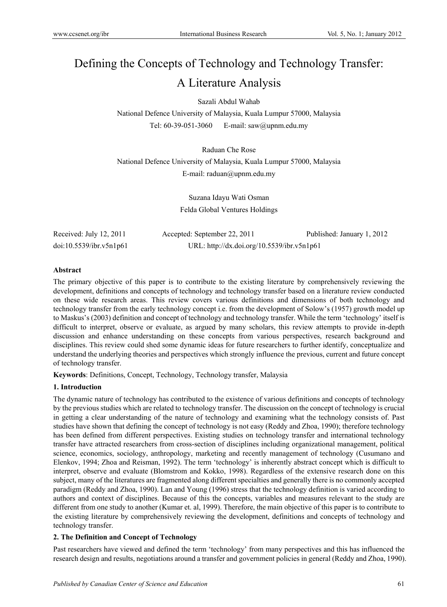# Defining the Concepts of Technology and Technology Transfer: A Literature Analysis

Sazali Abdul Wahab

National Defence University of Malaysia, Kuala Lumpur 57000, Malaysia Tel: 60-39-051-3060 E-mail: saw@upnm.edu.my

Raduan Che Rose National Defence University of Malaysia, Kuala Lumpur 57000, Malaysia E-mail: raduan@upnm.edu.my

> Suzana Idayu Wati Osman Felda Global Ventures Holdings

Received: July 12, 2011 Accepted: September 22, 2011 Published: January 1, 2012 doi:10.5539/ibr.v5n1p61 URL: http://dx.doi.org/10.5539/ibr.v5n1p61

#### **Abstract**

The primary objective of this paper is to contribute to the existing literature by comprehensively reviewing the development, definitions and concepts of technology and technology transfer based on a literature review conducted on these wide research areas. This review covers various definitions and dimensions of both technology and technology transfer from the early technology concept i.e. from the development of Solow's (1957) growth model up to Maskus's (2003) definition and concept of technology and technology transfer. While the term 'technology' itself is difficult to interpret, observe or evaluate, as argued by many scholars, this review attempts to provide in-depth discussion and enhance understanding on these concepts from various perspectives, research background and disciplines. This review could shed some dynamic ideas for future researchers to further identify, conceptualize and understand the underlying theories and perspectives which strongly influence the previous, current and future concept of technology transfer.

**Keywords**: Definitions, Concept, Technology, Technology transfer, Malaysia

#### **1. Introduction**

The dynamic nature of technology has contributed to the existence of various definitions and concepts of technology by the previous studies which are related to technology transfer. The discussion on the concept of technology is crucial in getting a clear understanding of the nature of technology and examining what the technology consists of. Past studies have shown that defining the concept of technology is not easy (Reddy and Zhoa, 1990); therefore technology has been defined from different perspectives. Existing studies on technology transfer and international technology transfer have attracted researchers from cross-section of disciplines including organizational management, political science, economics, sociology, anthropology, marketing and recently management of technology (Cusumano and Elenkov, 1994; Zhoa and Reisman, 1992). The term 'technology' is inherently abstract concept which is difficult to interpret, observe and evaluate (Blomstrom and Kokko, 1998). Regardless of the extensive research done on this subject, many of the literatures are fragmented along different specialties and generally there is no commonly accepted paradigm (Reddy and Zhoa, 1990). Lan and Young (1996) stress that the technology definition is varied according to authors and context of disciplines. Because of this the concepts, variables and measures relevant to the study are different from one study to another (Kumar et. al, 1999). Therefore, the main objective of this paper is to contribute to the existing literature by comprehensively reviewing the development, definitions and concepts of technology and technology transfer.

#### **2. The Definition and Concept of Technology**

Past researchers have viewed and defined the term 'technology' from many perspectives and this has influenced the research design and results, negotiations around a transfer and government policies in general (Reddy and Zhoa, 1990).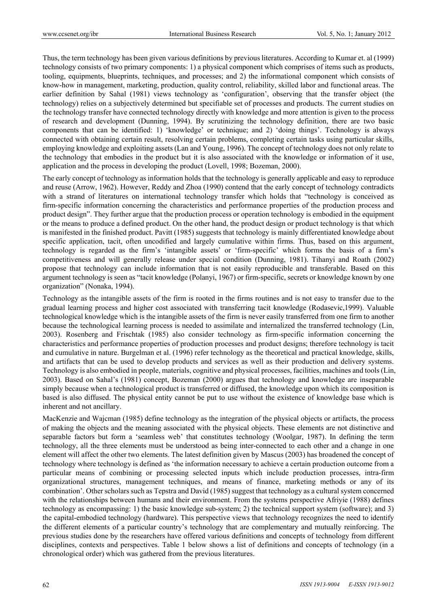Thus, the term technology has been given various definitions by previous literatures. According to Kumar et. al (1999) technology consists of two primary components: 1) a physical component which comprises of items such as products, tooling, equipments, blueprints, techniques, and processes; and 2) the informational component which consists of know-how in management, marketing, production, quality control, reliability, skilled labor and functional areas. The earlier definition by Sahal (1981) views technology as 'configuration', observing that the transfer object (the technology) relies on a subjectively determined but specifiable set of processes and products. The current studies on the technology transfer have connected technology directly with knowledge and more attention is given to the process of research and development (Dunning, 1994). By scrutinizing the technology definition, there are two basic components that can be identified: 1) 'knowledge' or technique; and 2) 'doing things'. Technology is always connected with obtaining certain result, resolving certain problems, completing certain tasks using particular skills, employing knowledge and exploiting assets (Lan and Young, 1996). The concept of technology does not only relate to the technology that embodies in the product but it is also associated with the knowledge or information of it use, application and the process in developing the product (Lovell, 1998; Bozeman, 2000).

The early concept of technology as information holds that the technology is generally applicable and easy to reproduce and reuse (Arrow, 1962). However, Reddy and Zhoa (1990) contend that the early concept of technology contradicts with a strand of literatures on international technology transfer which holds that "technology is conceived as firm-specific information concerning the characteristics and performance properties of the production process and product design". They further argue that the production process or operation technology is embodied in the equipment or the means to produce a defined product. On the other hand, the product design or product technology is that which is manifested in the finished product. Pavitt (1985) suggests that technology is mainly differentiated knowledge about specific application, tacit, often uncodified and largely cumulative within firms. Thus, based on this argument, technology is regarded as the firm's 'intangible assets' or 'firm-specific' which forms the basis of a firm's competitiveness and will generally release under special condition (Dunning, 1981). Tihanyi and Roath (2002) propose that technology can include information that is not easily reproducible and transferable. Based on this argument technology is seen as "tacit knowledge (Polanyi, 1967) or firm-specific, secrets or knowledge known by one organization" (Nonaka, 1994).

Technology as the intangible assets of the firm is rooted in the firms routines and is not easy to transfer due to the gradual learning process and higher cost associated with transferring tacit knowledge (Rodasevic,1999). Valuable technological knowledge which is the intangible assets of the firm is never easily transferred from one firm to another because the technological learning process is needed to assimilate and internalized the transferred technology (Lin, 2003). Rosenberg and Frischtak (1985) also consider technology as firm-specific information concerning the characteristics and performance properties of production processes and product designs; therefore technology is tacit and cumulative in nature. Burgelman et al. (1996) refer technology as the theoretical and practical knowledge, skills, and artifacts that can be used to develop products and services as well as their production and delivery systems. Technology is also embodied in people, materials, cognitive and physical processes, facilities, machines and tools (Lin, 2003). Based on Sahal's (1981) concept, Bozeman (2000) argues that technology and knowledge are inseparable simply because when a technological product is transferred or diffused, the knowledge upon which its composition is based is also diffused. The physical entity cannot be put to use without the existence of knowledge base which is inherent and not ancillary.

MacKenzie and Wajcman (1985) define technology as the integration of the physical objects or artifacts, the process of making the objects and the meaning associated with the physical objects. These elements are not distinctive and separable factors but form a 'seamless web' that constitutes technology (Woolgar, 1987). In defining the term technology, all the three elements must be understood as being inter-connected to each other and a change in one element will affect the other two elements. The latest definition given by Mascus (2003) has broadened the concept of technology where technology is defined as 'the information necessary to achieve a certain production outcome from a particular means of combining or processing selected inputs which include production processes, intra-firm organizational structures, management techniques, and means of finance, marketing methods or any of its combination'. Other scholars such as Tepstra and David (1985) suggest that technology as a cultural system concerned with the relationships between humans and their environment. From the systems perspective Afriyie (1988) defines technology as encompassing: 1) the basic knowledge sub-system; 2) the technical support system (software); and 3) the capital-embodied technology (hardware). This perspective views that technology recognizes the need to identify the different elements of a particular country's technology that are complementary and mutually reinforcing. The previous studies done by the researchers have offered various definitions and concepts of technology from different disciplines, contexts and perspectives. Table 1 below shows a list of definitions and concepts of technology (in a chronological order) which was gathered from the previous literatures.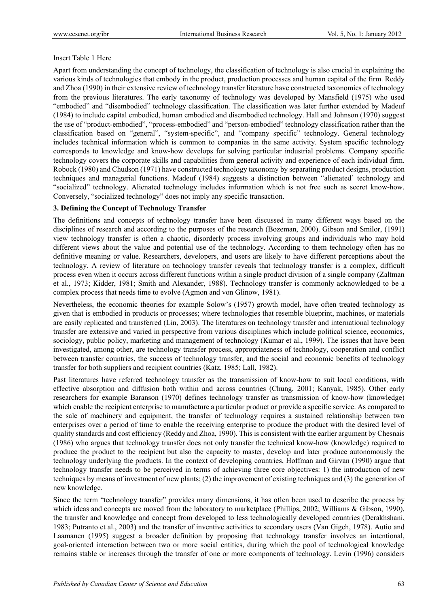#### Insert Table 1 Here

Apart from understanding the concept of technology, the classification of technology is also crucial in explaining the various kinds of technologies that embody in the product, production processes and human capital of the firm. Reddy and Zhoa (1990) in their extensive review of technology transfer literature have constructed taxonomies of technology from the previous literatures. The early taxonomy of technology was developed by Mansfield (1975) who used "embodied" and "disembodied" technology classification. The classification was later further extended by Madeuf (1984) to include capital embodied, human embodied and disembodied technology. Hall and Johnson (1970) suggest the use of "product-embodied", "process-embodied" and "person-embodied" technology classification rather than the classification based on "general", "system-specific", and "company specific" technology. General technology includes technical information which is common to companies in the same activity. System specific technology corresponds to knowledge and know-how develops for solving particular industrial problems. Company specific technology covers the corporate skills and capabilities from general activity and experience of each individual firm. Robock (1980) and Chudson (1971) have constructed technology taxonomy by separating product designs, production techniques and managerial functions. Madeuf (1984) suggests a distinction between "alienated' technology and "socialized" technology. Alienated technology includes information which is not free such as secret know-how. Conversely, "socialized technology" does not imply any specific transaction.

#### **3. Defining the Concept of Technology Transfer**

The definitions and concepts of technology transfer have been discussed in many different ways based on the disciplines of research and according to the purposes of the research (Bozeman, 2000). Gibson and Smilor, (1991) view technology transfer is often a chaotic, disorderly process involving groups and individuals who may hold different views about the value and potential use of the technology. According to them technology often has no definitive meaning or value. Researchers, developers, and users are likely to have different perceptions about the technology. A review of literature on technology transfer reveals that technology transfer is a complex, difficult process even when it occurs across different functions within a single product division of a single company (Zaltman et al., 1973; Kidder, 1981; Smith and Alexander, 1988). Technology transfer is commonly acknowledged to be a complex process that needs time to evolve (Agmon and von Glinow, 1981).

Nevertheless, the economic theories for example Solow's (1957) growth model, have often treated technology as given that is embodied in products or processes; where technologies that resemble blueprint, machines, or materials are easily replicated and transferred (Lin, 2003). The literatures on technology transfer and international technology transfer are extensive and varied in perspective from various disciplines which include political science, economics, sociology, public policy, marketing and management of technology (Kumar et al., 1999). The issues that have been investigated, among other, are technology transfer process, appropriateness of technology, cooperation and conflict between transfer countries, the success of technology transfer, and the social and economic benefits of technology transfer for both suppliers and recipient countries (Katz, 1985; Lall, 1982).

Past literatures have referred technology transfer as the transmission of know-how to suit local conditions, with effective absorption and diffusion both within and across countries (Chung, 2001; Kanyak, 1985). Other early researchers for example Baranson (1970) defines technology transfer as transmission of know-how (knowledge) which enable the recipient enterprise to manufacture a particular product or provide a specific service. As compared to the sale of machinery and equipment, the transfer of technology requires a sustained relationship between two enterprises over a period of time to enable the receiving enterprise to produce the product with the desired level of quality standards and cost efficiency (Reddy and Zhoa, 1990). This is consistent with the earlier argument by Chesnais (1986) who argues that technology transfer does not only transfer the technical know-how (knowledge) required to produce the product to the recipient but also the capacity to master, develop and later produce autonomously the technology underlying the products. In the context of developing countries, Hoffman and Girvan (1990) argue that technology transfer needs to be perceived in terms of achieving three core objectives: 1) the introduction of new techniques by means of investment of new plants; (2) the improvement of existing techniques and (3) the generation of new knowledge.

Since the term "technology transfer" provides many dimensions, it has often been used to describe the process by which ideas and concepts are moved from the laboratory to marketplace (Phillips, 2002; Williams & Gibson, 1990), the transfer and knowledge and concept from developed to less technologically developed countries (Derakhshani, 1983; Putranto et al., 2003) and the transfer of inventive activities to secondary users (Van Gigch, 1978). Autio and Laamanen (1995) suggest a broader definition by proposing that technology transfer involves an intentional, goal-oriented interaction between two or more social entities, during which the pool of technological knowledge remains stable or increases through the transfer of one or more components of technology. Levin (1996) considers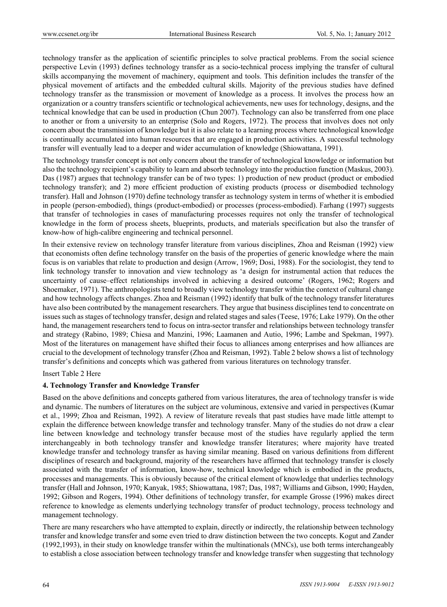technology transfer as the application of scientific principles to solve practical problems. From the social science perspective Levin (1993) defines technology transfer as a socio-technical process implying the transfer of cultural skills accompanying the movement of machinery, equipment and tools. This definition includes the transfer of the physical movement of artifacts and the embedded cultural skills. Majority of the previous studies have defined technology transfer as the transmission or movement of knowledge as a process. It involves the process how an organization or a country transfers scientific or technological achievements, new uses for technology, designs, and the technical knowledge that can be used in production (Chun 2007). Technology can also be transferred from one place to another or from a university to an enterprise (Solo and Rogers, 1972). The process that involves does not only concern about the transmission of knowledge but it is also relate to a learning process where technological knowledge is continually accumulated into human resources that are engaged in production activities. A successful technology transfer will eventually lead to a deeper and wider accumulation of knowledge (Shiowattana, 1991).

The technology transfer concept is not only concern about the transfer of technological knowledge or information but also the technology recipient's capability to learn and absorb technology into the production function (Maskus, 2003). Das (1987) argues that technology transfer can be of two types: 1) production of new product (product or embodied technology transfer); and 2) more efficient production of existing products (process or disembodied technology transfer). Hall and Johnson (1970) define technology transfer as technology system in terms of whether it is embodied in people (person-embodied), things (product-embodied) or processes (process-embodied). Farhang (1997) suggests that transfer of technologies in cases of manufacturing processes requires not only the transfer of technological knowledge in the form of process sheets, blueprints, products, and materials specification but also the transfer of know-how of high-calibre engineering and technical personnel.

In their extensive review on technology transfer literature from various disciplines, Zhoa and Reisman (1992) view that economists often define technology transfer on the basis of the properties of generic knowledge where the main focus is on variables that relate to production and design (Arrow, 1969; Dosi, 1988). For the sociologist, they tend to link technology transfer to innovation and view technology as 'a design for instrumental action that reduces the uncertainty of cause–effect relationships involved in achieving a desired outcome' (Rogers, 1962; Rogers and Shoemaker, 1971). The anthropologists tend to broadly view technology transfer within the context of cultural change and how technology affects changes. Zhoa and Reisman (1992) identify that bulk of the technology transfer literatures have also been contributed by the management researchers. They argue that business disciplines tend to concentrate on issues such as stages of technology transfer, design and related stages and sales (Teese, 1976; Lake 1979). On the other hand, the management researchers tend to focus on intra-sector transfer and relationships between technology transfer and strategy (Rabino, 1989; Chiesa and Manzini, 1996; Laamanen and Autio, 1996; Lambe and Spekman, 1997). Most of the literatures on management have shifted their focus to alliances among enterprises and how alliances are crucial to the development of technology transfer (Zhoa and Reisman, 1992). Table 2 below shows a list of technology transfer's definitions and concepts which was gathered from various literatures on technology transfer.

Insert Table 2 Here

#### **4. Technology Transfer and Knowledge Transfer**

Based on the above definitions and concepts gathered from various literatures, the area of technology transfer is wide and dynamic. The numbers of literatures on the subject are voluminous, extensive and varied in perspectives (Kumar et al., 1999; Zhoa and Reisman, 1992). A review of literature reveals that past studies have made little attempt to explain the difference between knowledge transfer and technology transfer. Many of the studies do not draw a clear line between knowledge and technology transfer because most of the studies have regularly applied the term interchangeably in both technology transfer and knowledge transfer literatures; where majority have treated knowledge transfer and technology transfer as having similar meaning. Based on various definitions from different disciplines of research and background, majority of the researchers have affirmed that technology transfer is closely associated with the transfer of information, know-how, technical knowledge which is embodied in the products, processes and managements. This is obviously because of the critical element of knowledge that underlies technology transfer (Hall and Johnson, 1970; Kanyak, 1985; Shiowattana, 1987; Das, 1987; Williams and Gibson, 1990; Hayden, 1992; Gibson and Rogers, 1994). Other definitions of technology transfer, for example Grosse (1996) makes direct reference to knowledge as elements underlying technology transfer of product technology, process technology and management technology.

There are many researchers who have attempted to explain, directly or indirectly, the relationship between technology transfer and knowledge transfer and some even tried to draw distinction between the two concepts. Kogut and Zander (1992,1993), in their study on knowledge transfer within the multinationals (MNCs), use both terms interchangeably to establish a close association between technology transfer and knowledge transfer when suggesting that technology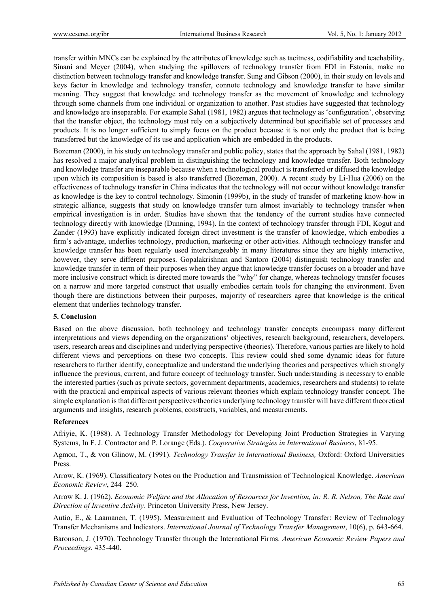transfer within MNCs can be explained by the attributes of knowledge such as tacitness, codifiability and teachability. Sinani and Meyer (2004), when studying the spillovers of technology transfer from FDI in Estonia, make no distinction between technology transfer and knowledge transfer. Sung and Gibson (2000), in their study on levels and keys factor in knowledge and technology transfer, connote technology and knowledge transfer to have similar meaning. They suggest that knowledge and technology transfer as the movement of knowledge and technology through some channels from one individual or organization to another. Past studies have suggested that technology and knowledge are inseparable. For example Sahal (1981, 1982) argues that technology as 'configuration', observing that the transfer object, the technology must rely on a subjectively determined but specifiable set of processes and products. It is no longer sufficient to simply focus on the product because it is not only the product that is being transferred but the knowledge of its use and application which are embedded in the products.

Bozeman (2000), in his study on technology transfer and public policy, states that the approach by Sahal (1981, 1982) has resolved a major analytical problem in distinguishing the technology and knowledge transfer. Both technology and knowledge transfer are inseparable because when a technological product is transferred or diffused the knowledge upon which its composition is based is also transferred (Bozeman, 2000). A recent study by Li-Hua (2006) on the effectiveness of technology transfer in China indicates that the technology will not occur without knowledge transfer as knowledge is the key to control technology. Simonin (1999b), in the study of transfer of marketing know-how in strategic alliance, suggests that study on knowledge transfer turn almost invariably to technology transfer when empirical investigation is in order. Studies have shown that the tendency of the current studies have connected technology directly with knowledge (Dunning, 1994). In the context of technology transfer through FDI, Kogut and Zander (1993) have explicitly indicated foreign direct investment is the transfer of knowledge, which embodies a firm's advantage, underlies technology, production, marketing or other activities. Although technology transfer and knowledge transfer has been regularly used interchangeably in many literatures since they are highly interactive, however, they serve different purposes. Gopalakrishnan and Santoro (2004) distinguish technology transfer and knowledge transfer in term of their purposes when they argue that knowledge transfer focuses on a broader and have more inclusive construct which is directed more towards the "why" for change, whereas technology transfer focuses on a narrow and more targeted construct that usually embodies certain tools for changing the environment. Even though there are distinctions between their purposes, majority of researchers agree that knowledge is the critical element that underlies technology transfer.

#### **5. Conclusion**

Based on the above discussion, both technology and technology transfer concepts encompass many different interpretations and views depending on the organizations' objectives, research background, researchers, developers, users, research areas and disciplines and underlying perspective (theories). Therefore, various parties are likely to hold different views and perceptions on these two concepts. This review could shed some dynamic ideas for future researchers to further identify, conceptualize and understand the underlying theories and perspectives which strongly influence the previous, current, and future concept of technology transfer. Such understanding is necessary to enable the interested parties (such as private sectors, government departments, academics, researchers and students) to relate with the practical and empirical aspects of various relevant theories which explain technology transfer concept. The simple explanation is that different perspectives/theories underlying technology transfer will have different theoretical arguments and insights, research problems, constructs, variables, and measurements.

#### **References**

Afriyie, K. (1988). A Technology Transfer Methodology for Developing Joint Production Strategies in Varying Systems, In F. J. Contractor and P. Lorange (Eds.). *Cooperative Strategies in International Business*, 81-95.

Agmon, T., & von Glinow, M. (1991). *Technology Transfer in International Business,* Oxford: Oxford Universities Press.

Arrow, K. (1969). Classificatory Notes on the Production and Transmission of Technological Knowledge. *American Economic Review*, 244–250.

Arrow K. J. (1962). *Economic Welfare and the Allocation of Resources for Invention, in: R. R. Nelson, The Rate and Direction of Inventive Activity*. Princeton University Press, New Jersey.

Autio, E., & Laamanen, T. (1995). Measurement and Evaluation of Technology Transfer: Review of Technology Transfer Mechanisms and Indicators. *International Journal of Technology Transfer Management*, 10(6), p. 643-664.

Baronson, J. (1970). Technology Transfer through the International Firms. *American Economic Review Papers and Proceedings*, 435-440.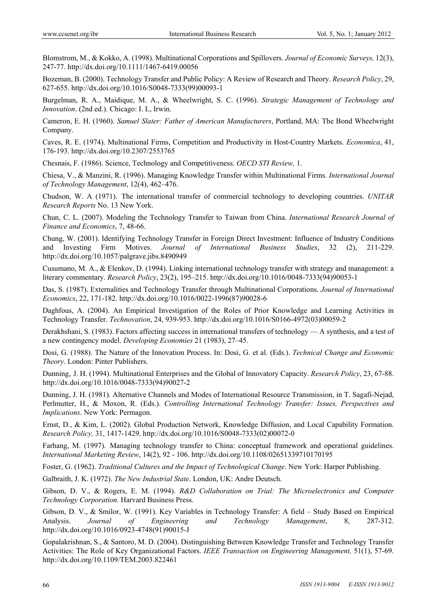Blomstrom, M., & Kokko, A. (1998). Multinational Corporations and Spillovers. *Journal of Economic Surveys,* 12(3), 247-77. http://dx.doi.org/10.1111/1467-6419.00056

Bozeman, B. (2000). Technology Transfer and Public Policy: A Review of Research and Theory. *Research Policy*, 29, 627-655. http://dx.doi.org/10.1016/S0048-7333(99)00093-1

Burgelman, R. A., Maidique, M. A., & Wheelwright, S. C. (1996). *Strategic Management of Technology and Innovation*. (2nd ed.). Chicago: I. L, Irwin.

Cameron, E. H. (1960). *Samuel Slater: Father of American Manufacturers*, Portland, MA: The Bond Wheelwright Company.

Caves, R. E. (1974). Multinational Firms, Competition and Productivity in Host-Country Markets. *Economica*, 41, 176-193. http://dx.doi.org/10.2307/2553765

Chesnais, F. (1986). Science, Technology and Competitiveness. *OECD STI Review,* 1.

Chiesa, V., & Manzini, R. (1996). Managing Knowledge Transfer within Multinational Firms. *International Journal of Technology Management*, 12(4), 462–476.

Chudson, W. A (1971). The international transfer of commercial technology to developing countries. *UNITAR Research Reports* No. 13 New York.

Chun, C. L. (2007). Modeling the Technology Transfer to Taiwan from China. *International Research Journal of Finance and Economics*, 7, 48-66.

Chung, W. (2001). Identifying Technology Transfer in Foreign Direct Investment: Influence of Industry Conditions and Investing Firm Motives. *Journal of International Business Studies*, 32 (2), 211-229. http://dx.doi.org/10.1057/palgrave.jibs.8490949

Cusumano, M. A., & Elenkov, D. (1994). Linking international technology transfer with strategy and management: a literary commentary. *Research Policy*, 23(2), 195–215. http://dx.doi.org/10.1016/0048-7333(94)90053-1

Das, S. (1987). Externalities and Technology Transfer through Multinational Corporations. *Journal of International Economics*, 22, 171-182. http://dx.doi.org/10.1016/0022-1996(87)90028-6

Daghfous, A. (2004). An Empirical Investigation of the Roles of Prior Knowledge and Learning Activities in Technology Transfer. *Technovation*, 24, 939-953. http://dx.doi.org/10.1016/S0166-4972(03)00059-2

Derakhshani, S. (1983). Factors affecting success in international transfers of technology — A synthesis, and a test of a new contingency model. *Developing Economies* 21 (1983), 27–45.

Dosi, G. (1988). The Nature of the Innovation Process. In: Dosi, G. et al. (Eds.). *Technical Change and Economic Theory*. London: Pinter Publishers.

Dunning, J. H. (1994). Multinational Enterprises and the Global of Innovatory Capacity. *Research Policy*, 23, 67-88. http://dx.doi.org/10.1016/0048-7333(94)90027-2

Dunning, J. H. (1981). Alternative Channels and Modes of International Resource Transmission, in T. Sagafi-Nejad, Perlmutter, H., & Moxon, R. (Eds.). *Controlling International Technology Transfer: Issues, Perspectives and Implications*. New York: Permagon.

Ernst, D., & Kim, L. (2002). Global Production Network, Knowledge Diffusion, and Local Capability Formation. *Research Policy,* 31, 1417-1429. http://dx.doi.org/10.1016/S0048-7333(02)00072-0

Farhang, M. (1997). Managing technology transfer to China: conceptual framework and operational guidelines. *International Marketing Review*, 14(2), 92 - 106. http://dx.doi.org/10.1108/02651339710170195

Foster, G. (1962). *Traditional Cultures and the Impact of Technological Change*. New York: Harper Publishing.

Galbraith, J. K. (1972). *The New Industrial State*. London, UK: Andre Deutsch.

Gibson, D. V., & Rogers, E. M. (1994). *R&D Collaboration on Trial: The Microelectronics and Computer Technology Corporation.* Harvard Business Press.

Gibson, D. V., & Smilor, W. (1991). Key Variables in Technology Transfer: A field – Study Based on Empirical Analysis. *Journal of Engineering and Technology Management*, 8, 287-312. http://dx.doi.org/10.1016/0923-4748(91)90015-J

Gopalakrishnan, S., & Santoro, M. D. (2004). Distinguishing Between Knowledge Transfer and Technology Transfer Activities: The Role of Key Organizational Factors. *IEEE Transaction on Engineering Management,* 51(1), 57-69. http://dx.doi.org/10.1109/TEM.2003.822461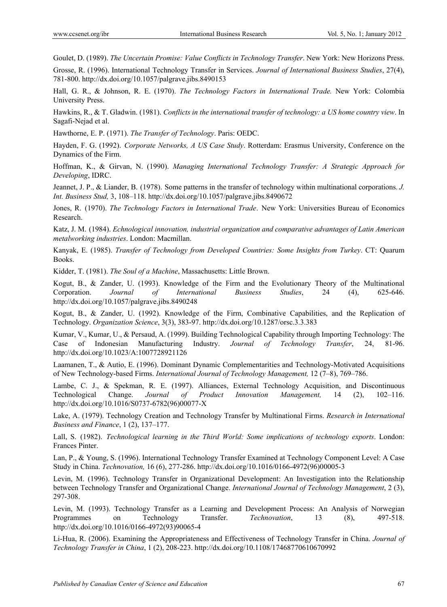Goulet, D. (1989). *The Uncertain Promise: Value Conflicts in Technology Transfer*. New York: New Horizons Press.

Grosse, R. (1996). International Technology Transfer in Services. *Journal of International Business Studies*, 27(4), 781-800. http://dx.doi.org/10.1057/palgrave.jibs.8490153

Hall, G. R., & Johnson, R. E. (1970). *The Technology Factors in International Trade.* New York: Colombia University Press.

Hawkins, R., & T. Gladwin. (1981). *Conflicts in the international transfer of technology: a US home country view*. In Sagafi-Nejad et al.

Hawthorne, E. P. (1971). *The Transfer of Technology*. Paris: OEDC.

Hayden, F. G. (1992). *Corporate Networks, A US Case Study*. Rotterdam: Erasmus University, Conference on the Dynamics of the Firm.

Hoffman, K., & Girvan, N. (1990). *Managing International Technology Transfer: A Strategic Approach for Developing*, IDRC.

Jeannet, J. P., & Liander, B. (1978). Some patterns in the transfer of technology within multinational corporations. *J. Int. Business Stud,* 3, 108–118. http://dx.doi.org/10.1057/palgrave.jibs.8490672

Jones, R. (1970). *The Technology Factors in International Trade*. New York: Universities Bureau of Economics Research.

Katz, J. M. (1984). *Echnological innovation, industrial organization and comparative advantages of Latin American metalworking industries*. London: Macmillan.

Kanyak, E. (1985). *Transfer of Technology from Developed Countries: Some Insights from Turkey*. CT: Quarum Books.

Kidder, T. (1981). *The Soul of a Machine*, Massachusetts: Little Brown.

Kogut, B., & Zander, U. (1993). Knowledge of the Firm and the Evolutionary Theory of the Multinational Corporation. *Journal of International Business Studies*, 24 (4), 625-646. http://dx.doi.org/10.1057/palgrave.jibs.8490248

Kogut, B., & Zander, U. (1992). Knowledge of the Firm, Combinative Capabilities, and the Replication of Technology. *Organization Science*, 3(3), 383-97. http://dx.doi.org/10.1287/orsc.3.3.383

Kumar, V., Kumar, U., & Persaud, A. (1999). Building Technological Capability through Importing Technology: The Case of Indonesian Manufacturing Industry. *Journal of Technology Transfer*, 24, 81-96. http://dx.doi.org/10.1023/A:1007728921126

Laamanen, T., & Autio, E. (1996). Dominant Dynamic Complementarities and Technology-Motivated Acquisitions of New Technology-based Firms. *International Journal of Technology Management,* 12 (7–8), 769–786.

Lambe, C. J., & Spekman, R. E. (1997). Alliances, External Technology Acquisition, and Discontinuous Technological Change. *Journal of Product Innovation Management,* 14 (2), 102–116. http://dx.doi.org/10.1016/S0737-6782(96)00077-X

Lake, A. (1979). Technology Creation and Technology Transfer by Multinational Firms. *Research in International Business and Finance*, 1 (2), 137–177.

Lall, S. (1982). *Technological learning in the Third World: Some implications of technology exports*. London: Frances Pinter.

Lan, P., & Young, S. (1996). International Technology Transfer Examined at Technology Component Level: A Case Study in China. *Technovation,* 16 (6), 277-286. http://dx.doi.org/10.1016/0166-4972(96)00005-3

Levin, M. (1996). Technology Transfer in Organizational Development: An Investigation into the Relationship between Technology Transfer and Organizational Change. *International Journal of Technology Management*, 2 (3), 297-308.

Levin, M. (1993). Technology Transfer as a Learning and Development Process: An Analysis of Norwegian Programmes on Technology Transfer. *Technovation*, 13 (8), 497-518. http://dx.doi.org/10.1016/0166-4972(93)90065-4

Li-Hua, R. (2006). Examining the Appropriateness and Effectiveness of Technology Transfer in China. *Journal of Technology Transfer in China*, 1 (2), 208-223. http://dx.doi.org/10.1108/17468770610670992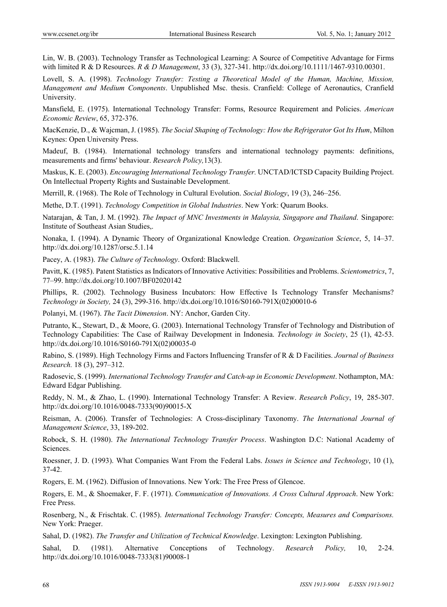Lin, W. B. (2003). Technology Transfer as Technological Learning: A Source of Competitive Advantage for Firms with limited R & D Resources. *R & D Management*, 33 (3), 327-341. http://dx.doi.org/10.1111/1467-9310.00301.

Lovell, S. A. (1998). *Technology Transfer: Testing a Theoretical Model of the Human, Machine, Mission, Management and Medium Components*. Unpublished Msc. thesis. Cranfield: College of Aeronautics, Cranfield University.

Mansfield, E. (1975). International Technology Transfer: Forms, Resource Requirement and Policies. *American Economic Review*, 65, 372-376.

MacKenzie, D., & Wajcman, J. (1985). *The Social Shaping of Technology: How the Refrigerator Got Its Hum*, Milton Keynes: Open University Press.

Madeuf, B. (1984). International technology transfers and international technology payments: definitions, measurements and firms' behaviour. *Research Policy,*13(3).

Maskus, K. E. (2003). *Encouraging International Technology Transfer.* UNCTAD/ICTSD Capacity Building Project. On Intellectual Property Rights and Sustainable Development.

Merrill, R. (1968). The Role of Technology in Cultural Evolution. *Social Biology*, 19 (3), 246–256.

Methe, D.T. (1991). *Technology Competition in Global Industries*. New York: Quarum Books.

Natarajan, & Tan, J. M. (1992). *The Impact of MNC Investments in Malaysia, Singapore and Thailand*. Singapore: Institute of Southeast Asian Studies,.

Nonaka, I. (1994). A Dynamic Theory of Organizational Knowledge Creation. *Organization Science*, 5, 14–37. http://dx.doi.org/10.1287/orsc.5.1.14

Pacey, A. (1983). *The Culture of Technology*. Oxford: Blackwell.

Pavitt, K. (1985). Patent Statistics as Indicators of Innovative Activities: Possibilities and Problems. *Scientometrics*, 7, 77–99. http://dx.doi.org/10.1007/BF02020142

Phillips, R. (2002). Technology Business Incubators: How Effective Is Technology Transfer Mechanisms? *Technology in Society,* 24 (3), 299-316. http://dx.doi.org/10.1016/S0160-791X(02)00010-6

Polanyi, M. (1967). *The Tacit Dimension*. NY: Anchor, Garden City.

Putranto, K., Stewart, D., & Moore, G. (2003). International Technology Transfer of Technology and Distribution of Technology Capabilities: The Case of Railway Development in Indonesia. *Technology in Society*, 25 (1), 42-53. http://dx.doi.org/10.1016/S0160-791X(02)00035-0

Rabino, S. (1989). High Technology Firms and Factors Influencing Transfer of R & D Facilities. *Journal of Business Research.* 18 (3), 297–312.

Radosevic, S. (1999). *International Technology Transfer and Catch-up in Economic Development*. Nothampton, MA: Edward Edgar Publishing.

Reddy, N. M., & Zhao, L. (1990). International Technology Transfer: A Review. *Research Policy*, 19, 285-307. http://dx.doi.org/10.1016/0048-7333(90)90015-X

Reisman, A. (2006). Transfer of Technologies: A Cross-disciplinary Taxonomy. *The International Journal of Management Science*, 33, 189-202.

Robock, S. H. (1980). *The International Technology Transfer Process*. Washington D.C: National Academy of Sciences.

Roessner, J. D. (1993). What Companies Want From the Federal Labs. *Issues in Science and Technology*, 10 (1), 37-42.

Rogers, E. M. (1962). Diffusion of Innovations. New York: The Free Press of Glencoe.

Rogers, E. M., & Shoemaker, F. F. (1971). *Communication of Innovations. A Cross Cultural Approach*. New York: Free Press.

Rosenberg, N., & Frischtak. C. (1985). *International Technology Transfer: Concepts, Measures and Comparisons.*  New York: Praeger.

Sahal, D. (1982). *The Transfer and Utilization of Technical Knowledge*. Lexington: Lexington Publishing.

Sahal, D. (1981). Alternative Conceptions of Technology. *Research Policy,* 10, 2-24. http://dx.doi.org/10.1016/0048-7333(81)90008-1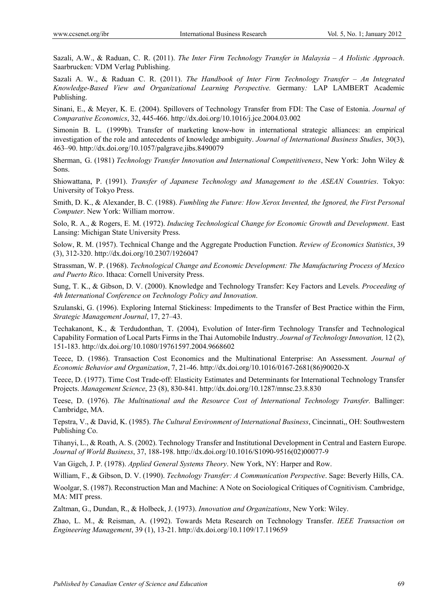Sazali, A.W., & Raduan, C. R. (2011). *The Inter Firm Technology Transfer in Malaysia – A Holistic Approach*. Saarbrucken: VDM Verlag Publishing.

Sazali A. W., & Raduan C. R. (2011). *The Handbook of Inter Firm Technology Transfer – An Integrated Knowledge-Based View and Organizational Learning Perspective.* Germany*:* LAP LAMBERT Academic Publishing.

Sinani, E., & Meyer, K. E. (2004). Spillovers of Technology Transfer from FDI: The Case of Estonia. *Journal of Comparative Economics*, 32, 445-466. http://dx.doi.org/10.1016/j.jce.2004.03.002

Simonin B. L. (1999b). Transfer of marketing know-how in international strategic alliances: an empirical investigation of the role and antecedents of knowledge ambiguity. *Journal of International Business Studies*, 30(3), 463–90. http://dx.doi.org/10.1057/palgrave.jibs.8490079

Sherman, G. (1981) *Technology Transfer Innovation and International Competitiveness*, New York: John Wiley & Sons.

Shiowattana, P. (1991). *Transfer of Japanese Technology and Management to the ASEAN Countries*. Tokyo: University of Tokyo Press.

Smith, D. K., & Alexander, B. C. (1988). *Fumbling the Future: How Xerox Invented, the Ignored, the First Personal Computer*. New York: William morrow.

Solo, R. A., & Rogers, E. M. (1972). *Inducing Technological Change for Economic Growth and Development*. East Lansing: Michigan State University Press.

Solow, R. M. (1957). Technical Change and the Aggregate Production Function. *Review of Economics Statistics*, 39 (3), 312-320. http://dx.doi.org/10.2307/1926047

Strassman, W. P. (1968). *Technological Change and Economic Development: The Manufacturing Process of Mexico and Puerto Rico*. Ithaca: Cornell University Press.

Sung, T. K., & Gibson, D. V. (2000). Knowledge and Technology Transfer: Key Factors and Levels. *Proceeding of 4th International Conference on Technology Policy and Innovation*.

Szulanski, G. (1996). Exploring Internal Stickiness: Impediments to the Transfer of Best Practice within the Firm, *Strategic Management Journal*, 17, 27–43.

Techakanont, K., & Terdudonthan, T. (2004), Evolution of Inter-firm Technology Transfer and Technological Capability Formation of Local Parts Firms in the Thai Automobile Industry. *Journal of Technology Innovation,* 12 (2), 151-183. http://dx.doi.org/10.1080/19761597.2004.9668602

Teece, D. (1986). Transaction Cost Economics and the Multinational Enterprise: An Assessment. *Journal of Economic Behavior and Organization*, 7, 21-46. http://dx.doi.org/10.1016/0167-2681(86)90020-X

Teece, D. (1977). Time Cost Trade-off: Elasticity Estimates and Determinants for International Technology Transfer Projects. *Management Science*, 23 (8), 830-841. http://dx.doi.org/10.1287/mnsc.23.8.830

Teese, D. (1976). *The Multinational and the Resource Cost of International Technology Transfer.* Ballinger: Cambridge, MA.

Tepstra, V., & David, K. (1985). *The Cultural Environment of International Business*, Cincinnati,, OH: Southwestern Publishing Co.

Tihanyi, L., & Roath, A. S. (2002). Technology Transfer and Institutional Development in Central and Eastern Europe. *Journal of World Business*, 37, 188-198. http://dx.doi.org/10.1016/S1090-9516(02)00077-9

Van Gigch, J. P. (1978). *Applied General Systems Theory*. New York, NY: Harper and Row.

William, F., & Gibson, D. V. (1990). *Technology Transfer: A Communication Perspective*. Sage: Beverly Hills, CA.

Woolgar, S. (1987). Reconstruction Man and Machine: A Note on Sociological Critiques of Cognitivism. Cambridge, MA: MIT press.

Zaltman, G., Dundan, R., & Holbeck, J. (1973). *Innovation and Organizations*, New York: Wiley.

Zhao, L. M., & Reisman, A. (1992). Towards Meta Research on Technology Transfer. *IEEE Transaction on Engineering Management*, 39 (1), 13-21. http://dx.doi.org/10.1109/17.119659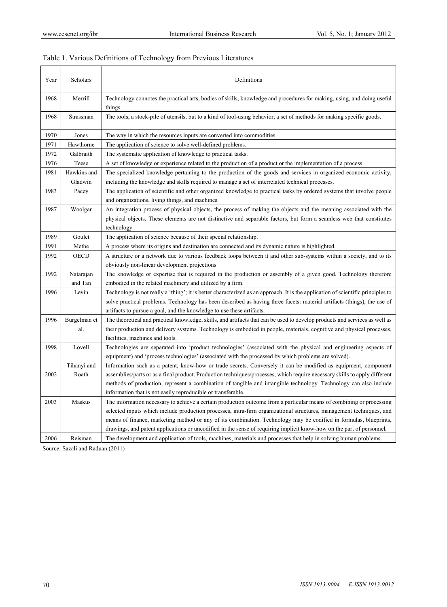| Year | Scholars               | Definitions                                                                                                                                                                                                                                                                                                                                                                                                                                                                                |
|------|------------------------|--------------------------------------------------------------------------------------------------------------------------------------------------------------------------------------------------------------------------------------------------------------------------------------------------------------------------------------------------------------------------------------------------------------------------------------------------------------------------------------------|
| 1968 | Merrill                | Technology connotes the practical arts, bodies of skills, knowledge and procedures for making, using, and doing useful<br>things.                                                                                                                                                                                                                                                                                                                                                          |
| 1968 | Strassman              | The tools, a stock-pile of utensils, but to a kind of tool-using behavior, a set of methods for making specific goods.                                                                                                                                                                                                                                                                                                                                                                     |
| 1970 | Jones                  | The way in which the resources inputs are converted into commodities.                                                                                                                                                                                                                                                                                                                                                                                                                      |
| 1971 | Hawthorne              | The application of science to solve well-defined problems.                                                                                                                                                                                                                                                                                                                                                                                                                                 |
| 1972 | Galbraith              | The systematic application of knowledge to practical tasks.                                                                                                                                                                                                                                                                                                                                                                                                                                |
| 1976 | Teese                  | A set of knowledge or experience related to the production of a product or the implementation of a process.                                                                                                                                                                                                                                                                                                                                                                                |
| 1981 | Hawkins and<br>Gladwin | The specialized knowledge pertaining to the production of the goods and services in organized economic activity,<br>including the knowledge and skills required to manage a set of interrelated technical processes.                                                                                                                                                                                                                                                                       |
| 1983 | Pacey                  | The application of scientific and other organized knowledge to practical tasks by ordered systems that involve people<br>and organizations, living things, and machines.                                                                                                                                                                                                                                                                                                                   |
| 1987 | Woolgar                | An integration process of physical objects, the process of making the objects and the meaning associated with the<br>physical objects. These elements are not distinctive and separable factors, but form a seamless web that constitutes<br>technology                                                                                                                                                                                                                                    |
| 1989 | Goulet                 | The application of science because of their special relationship.                                                                                                                                                                                                                                                                                                                                                                                                                          |
| 1991 | Methe                  | A process where its origins and destination are connected and its dynamic nature is highlighted.                                                                                                                                                                                                                                                                                                                                                                                           |
| 1992 | OECD                   | A structure or a network due to various feedback loops between it and other sub-systems within a society, and to its<br>obviously non-linear development projections                                                                                                                                                                                                                                                                                                                       |
| 1992 | Natarajan<br>and Tan   | The knowledge or expertise that is required in the production or assembly of a given good. Technology therefore<br>embodied in the related machinery and utilized by a firm.                                                                                                                                                                                                                                                                                                               |
| 1996 | Levin                  | Technology is not really a 'thing'; it is better characterized as an approach. It is the application of scientific principles to<br>solve practical problems. Technology has been described as having three facets: material artifacts (things), the use of<br>artifacts to pursue a goal, and the knowledge to use these artifacts.                                                                                                                                                       |
| 1996 | Burgelman et<br>al.    | The theoretical and practical knowledge, skills, and artifacts that can be used to develop products and services as well as<br>their production and delivery systems. Technology is embodied in people, materials, cognitive and physical processes,<br>facilities, machines and tools.                                                                                                                                                                                                    |
| 1998 | Lovell                 | Technologies are separated into 'product technologies' (associated with the physical and engineering aspects of<br>equipment) and 'process technologies' (associated with the processed by which problems are solved).                                                                                                                                                                                                                                                                     |
| 2002 | Tihanyi and<br>Roath   | Information such as a patent, know-how or trade secrets. Conversely it can be modified as equipment, component<br>assemblies/parts or as a final product. Production techniques/processes, which require necessary skills to apply different<br>methods of production, represent a combination of tangible and intangible technology. Technology can also include<br>information that is not easily reproducible or transferable.                                                          |
| 2003 | Maskus                 | The information necessary to achieve a certain production outcome from a particular means of combining or processing<br>selected inputs which include production processes, intra-firm organizational structures, management techniques, and<br>means of finance, marketing method or any of its combination. Technology may be codified in formulas, blueprints,<br>drawings, and patent applications or uncodified in the sense of requiring implicit know-how on the part of personnel. |
| 2006 | Reisman                | The development and application of tools, machines, materials and processes that help in solving human problems.                                                                                                                                                                                                                                                                                                                                                                           |

## Table 1. Various Definitions of Technology from Previous Literatures

Source: Sazali and Raduan (2011)